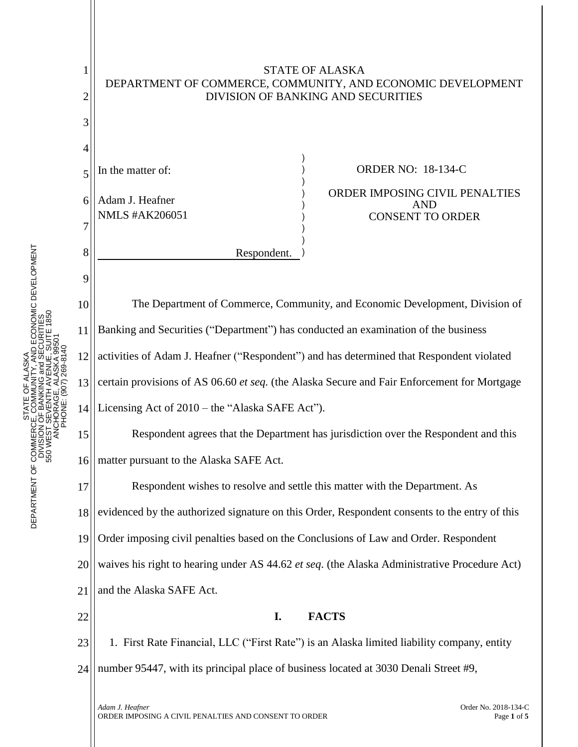

STATE OF ALASKA

SKA<br>, AND ECONOMIC DEVELOPMENT<br>d SECURITIES<br>UE, SUITE 1850 DEPARTMENT OF COMMERCE, COMMUNITY, AND ECONOMIC DEVELOPMENT 550 WEST SEVENTH AVENUE, SUITE 1850 DIVISION OF BANKING and SECURITIES ANCHORAGE, ALASKA 99501 PHONE: (907) 269-8140 STATE OF ALASKA STATE<br>JE, CON<br>JOF BAI DEPARTMENT OF COMMERCI<br>DIVISION<br>S50 WEST S

1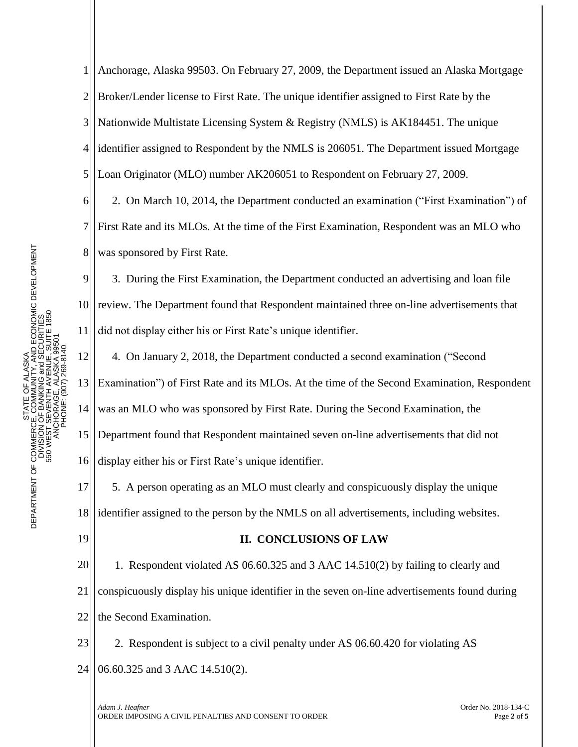1 2 3 4 5 Anchorage, Alaska 99503. On February 27, 2009, the Department issued an Alaska Mortgage Broker/Lender license to First Rate. The unique identifier assigned to First Rate by the Nationwide Multistate Licensing System & Registry (NMLS) is AK184451. The unique identifier assigned to Respondent by the NMLS is 206051. The Department issued Mortgage Loan Originator (MLO) number AK206051 to Respondent on February 27, 2009.

6 7 8 2. On March 10, 2014, the Department conducted an examination ("First Examination") of First Rate and its MLOs. At the time of the First Examination, Respondent was an MLO who was sponsored by First Rate.

9 10 11 3. During the First Examination, the Department conducted an advertising and loan file review. The Department found that Respondent maintained three on-line advertisements that did not display either his or First Rate's unique identifier.

12 13 14 15 16 4. On January 2, 2018, the Department conducted a second examination ("Second Examination") of First Rate and its MLOs. At the time of the Second Examination, Respondent was an MLO who was sponsored by First Rate. During the Second Examination, the Department found that Respondent maintained seven on-line advertisements that did not display either his or First Rate's unique identifier.

17 18 5. A person operating as an MLO must clearly and conspicuously display the unique identifier assigned to the person by the NMLS on all advertisements, including websites.

19

## **II. CONCLUSIONS OF LAW**

20 21 22 1. Respondent violated AS 06.60.325 and 3 AAC 14.510(2) by failing to clearly and conspicuously display his unique identifier in the seven on-line advertisements found during the Second Examination.

23 24 2. Respondent is subject to a civil penalty under AS 06.60.420 for violating AS 06.60.325 and 3 AAC 14.510(2).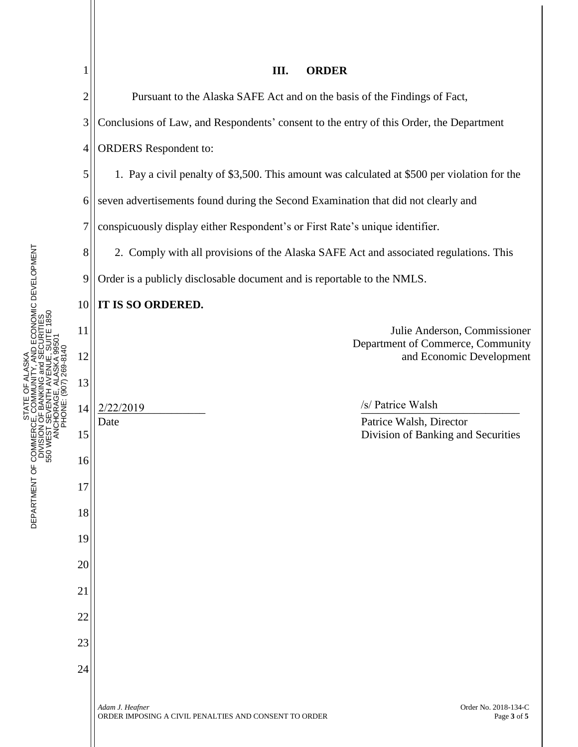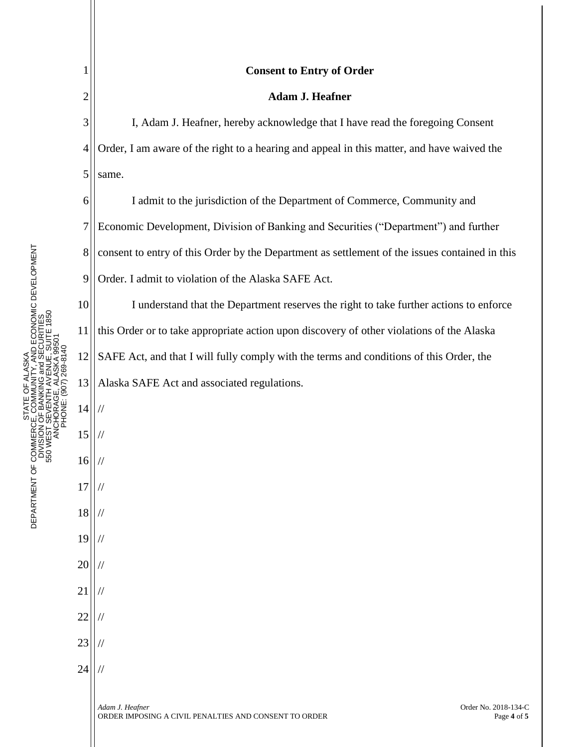1

7

10

11

21

//

//

//

//

22

23

24

## 2 3 4 5 6 8 9 12 13 14 15 16 17 18 19 20 **Consent to Entry of Order Adam J. Heafner** I, Adam J. Heafner, hereby acknowledge that I have read the foregoing Consent Order, I am aware of the right to a hearing and appeal in this matter, and have waived the same. I admit to the jurisdiction of the Department of Commerce, Community and Economic Development, Division of Banking and Securities ("Department") and further consent to entry of this Order by the Department as settlement of the issues contained in this Order. I admit to violation of the Alaska SAFE Act. I understand that the Department reserves the right to take further actions to enforce this Order or to take appropriate action upon discovery of other violations of the Alaska SAFE Act, and that I will fully comply with the terms and conditions of this Order, the Alaska SAFE Act and associated regulations. // // // // // // //